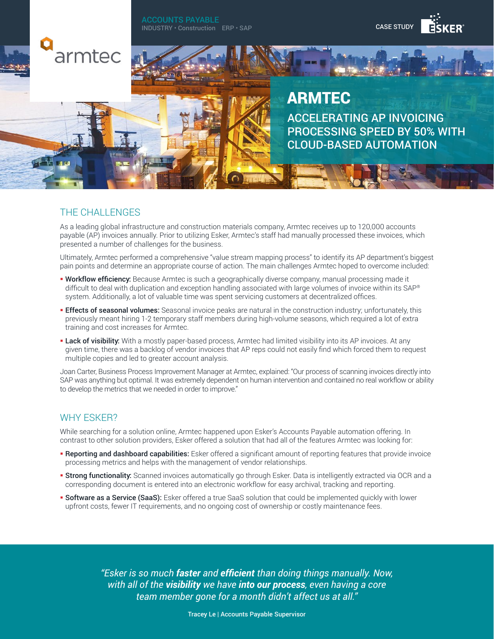ACCOUNTS PAYABLE INDUSTRY • Construction ERP • SAP





# ARMTEC ACCELERATING AP INVOICING PROCESSING SPEED BY 50% WITH CLOUD-BASED AUTOMATION

### THE CHALLENGES

armtec

As a leading global infrastructure and construction materials company, Armtec receives up to 120,000 accounts payable (AP) invoices annually. Prior to utilizing Esker, Armtec's staff had manually processed these invoices, which presented a number of challenges for the business.

Ultimately, Armtec performed a comprehensive "value stream mapping process" to identify its AP department's biggest pain points and determine an appropriate course of action. The main challenges Armtec hoped to overcome included:

- **Workflow efficiency:** Because Armtec is such a geographically diverse company, manual processing made it difficult to deal with duplication and exception handling associated with large volumes of invoice within its SAP® system. Additionally, a lot of valuable time was spent servicing customers at decentralized offices.
- **Effects of seasonal volumes:** Seasonal invoice peaks are natural in the construction industry; unfortunately, this previously meant hiring 1-2 temporary staff members during high-volume seasons, which required a lot of extra training and cost increases for Armtec.
- **Lack of visibility:** With a mostly paper-based process, Armtec had limited visibility into its AP invoices. At any given time, there was a backlog of vendor invoices that AP reps could not easily find which forced them to request multiple copies and led to greater account analysis.

Joan Carter, Business Process Improvement Manager at Armtec, explained: "Our process of scanning invoices directly into SAP was anything but optimal. It was extremely dependent on human intervention and contained no real workflow or ability to develop the metrics that we needed in order to improve."

#### WHY **FSKER?**

While searching for a solution online, Armtec happened upon Esker's Accounts Payable automation offering. In contrast to other solution providers, Esker offered a solution that had all of the features Armtec was looking for:

- **Reporting and dashboard capabilities:** Esker offered a significant amount of reporting features that provide invoice processing metrics and helps with the management of vendor relationships.
- **Strong functionality:** Scanned invoices automatically go through Esker. Data is intelligently extracted via OCR and a corresponding document is entered into an electronic workflow for easy archival, tracking and reporting.
- **Software as a Service (SaaS):** Esker offered a true SaaS solution that could be implemented quickly with lower upfront costs, fewer IT requirements, and no ongoing cost of ownership or costly maintenance fees.

*"Esker is so much faster and efficient than doing things manually. Now, with all of the visibility we have into our process, even having a core team member gone for a month didn't affect us at all."*